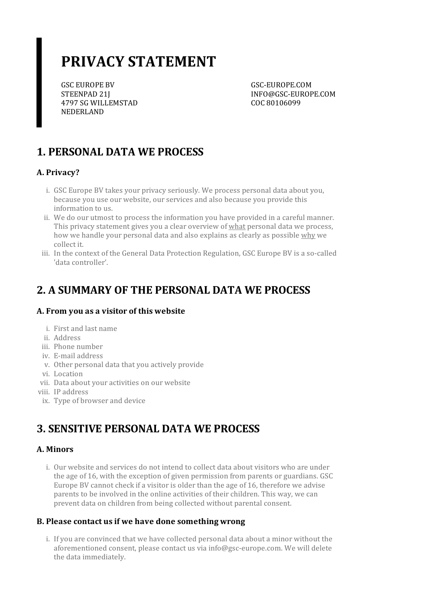# **PRIVACY STATEMENT**

GSC EUROPE BV STEENPAD 21J 4797 SG WILLEMSTAD NEDERLAND

GSC-EUROPE.COM INFO@GSC-EUROPE.COM COC 80106099

### **1. PERSONAL DATA WE PROCESS**

### **A. Privacy?**

- i. GSC Europe BV takes your privacy seriously. We process personal data about you, because you use our website, our services and also because you provide this information to us.
- ii. We do our utmost to process the information you have provided in a careful manner. This privacy statement gives you a clear overview of what personal data we process, how we handle your personal data and also explains as clearly as possible why we collect it.
- iii. In the context of the General Data Protection Regulation, GSC Europe BV is a so-called 'data controller'.

### **2. A SUMMARY OF THE PERSONAL DATA WE PROCESS**

#### **A. From you as a visitor of this website**

- i. First and last name
- ii. Address
- iii. Phone number
- iv. E-mail address
- v. Other personal data that you actively provide
- vi. Location
- vii. Data about your activities on our website
- viii. IP address
- ix. Type of browser and device

### **3. SENSITIVE PERSONAL DATA WE PROCESS**

### **A. Minors**

i. Our website and services do not intend to collect data about visitors who are under the age of 16, with the exception of given permission from parents or guardians. GSC Europe BV cannot check if a visitor is older than the age of 16, therefore we advise parents to be involved in the online activities of their children. This way, we can prevent data on children from being collected without parental consent.

### **B. Please contact usif we have done somethingwrong**

i. If you are convinced that we have collected personal data about a minor without the aforementioned consent, please contact us via info@gsc-europe.com. We will delete the data immediately.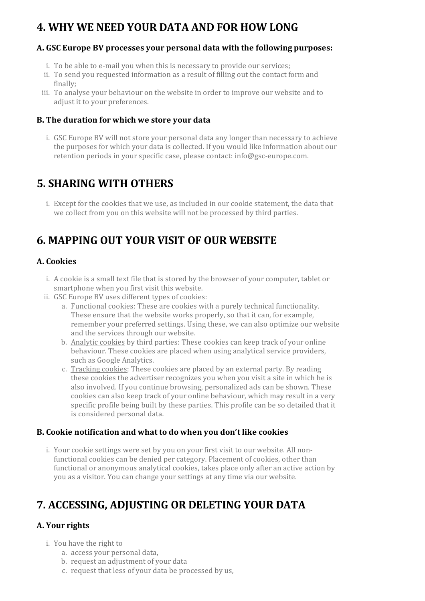### **4. WHY WE NEED YOUR DATA AND FOR HOW LONG**

#### **A. GSC Europe BV processes your personal data with the following purposes:**

- i. To be able to e-mail you when this is necessary to provide our services;
- ii. To send you requested information as a result of filling out the contact form and finally;
- iii. To analyse your behaviour on the website in order to improve our website and to adjust it to your preferences.

#### **B. The duration for which we store your data**

i. GSC Europe BV will not store your personal data any longer than necessary to achieve the purposes for which your data is collected. If you would like information about our retention periods in your specific case, please contact: info@gsc-europe.com.

### **5. SHARING WITH OTHERS**

i. Except for the cookies that we use, as included in our cookie statement, the data that we collect from you on this website will not be processed by third parties.

### **6. MAPPING OUT YOUR VISIT OF OUR WEBSITE**

#### **A. Cookies**

- i. A cookie is a small text file that is stored by the browser of your computer, tablet or smartphone when you first visit this website.
- ii. GSC Europe BV uses different types of cookies:
	- a. Functional cookies: These are cookies with a purely technical functionality. These ensure that the website works properly, so that it can, for example, remember your preferred settings. Using these, we can also optimize our website and the services through our website.
	- b. Analytic cookies by third parties: These cookies can keep track of your online behaviour. These cookies are placed when using analytical service providers, such as Google Analytics.
	- c. Tracking cookies: These cookies are placed by an external party. By reading these cookies the advertiser recognizes you when you visit a site in which he is also involved. If you continue browsing, personalized ads can be shown. These cookies can also keep track of your online behaviour, which may result in a very specific profile being built by these parties. This profile can be so detailed that it is considered personal data.

#### **B. Cookie notification and what to do when you don't like cookies**

i. Your cookie settings were set by you on your first visit to our website. All nonfunctional cookies can be denied per category. Placement of cookies, other than functional or anonymous analytical cookies, takes place only after an active action by you as a visitor. You can change your settings at any time via our website.

### **7. ACCESSING, ADJUSTING OR DELETING YOUR DATA**

### **A.** Your rights

- i. You have the right to
	- a. access your personal data,
	- b. request an adjustment of your data
	- c. request that less of your data be processed by us,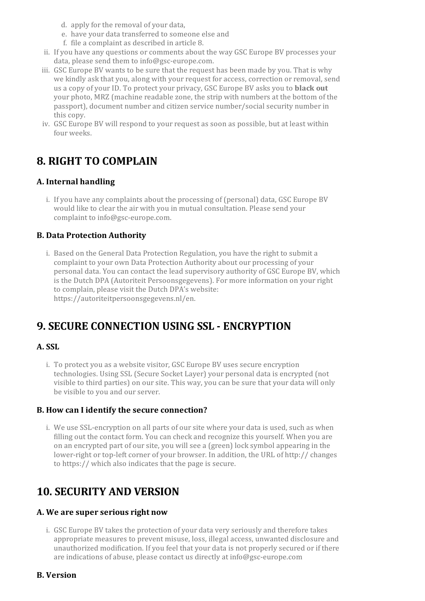- d. apply for the removal of your data,
- e. have your data transferred to someone else and
- f. file a complaint as described in article 8.
- ii. If you have any questions orcomments about the way GSC Europe BV processes your data, please send them to info@gsc-europe.com.
- iii. GSC Europe BV wants to be sure that the request has been made by you. That is why we kindly ask that you, along with your request for access, correction or removal, send us a copy of yourID. To protect your privacy, GSC Europe BV asks you to **black out** your photo, MRZ (machine readable zone, the strip with numbers at the bottom of the passport), document number and citizen service number/social security numberin this copy.
- iv. GSC Europe BV will respond to your request as soon as possible, but at least within four weeks.

### **8. RIGHT TO COMPLAIN**

#### **A. Internal handling**

i. If you have any complaints about the processing of (personal) data, GSC Europe BV would like to clear the air with you in mutual consultation. Please send your complaint to info@gsc-europe.com.

#### **B. Data Protection Authority**

i. Based on the General Data Protection Regulation, you have the right to submit a complaint to your own Data Protection Authority about our processing of your personal data. You can contact the lead supervisory authority of GSC Europe BV, which is the Dutch DPA (Autoriteit Persoonsgegevens). For more information on yourright to complain, please visit the Dutch DPA's website: https://autoriteitpersoonsgegevens.nl/en.

### **9. SECURE CONNECTION USING SSL - ENCRYPTION**

#### **A. SSL**

i. To protect you as a website visitor, GSC Europe BV uses secure encryption technologies. Using SSL (Secure Socket Layer) your personal data is encrypted (not visible to third parties) on our site. This way, you can be sure that your data will only be visible to you and our server.

#### **B. How can I identify the secure connection?**

i. We use SSL-encryption on all parts of our site where your data is used, such as when filling out the contact form. You can check and recognize this yourself. When you are on an encrypted part of our site, you will see a (green) lock symbol appearing in the lower-right or top-left corner of your browser. In addition, the URL of http:// changes to https:// which also indicates that the page is secure.

### **10. SECURITY AND VERSION**

#### **A. We are superseriousright now**

i. GSC Europe BV takes the protection of your data very seriously and therefore takes appropriate measures to prevent misuse, loss, illegal access, unwanted disclosure and unauthorized modification. If you feel that your data is not properly secured or if there are indications of abuse, please contact us directly at info@gsc-europe.com

#### **B. Version**